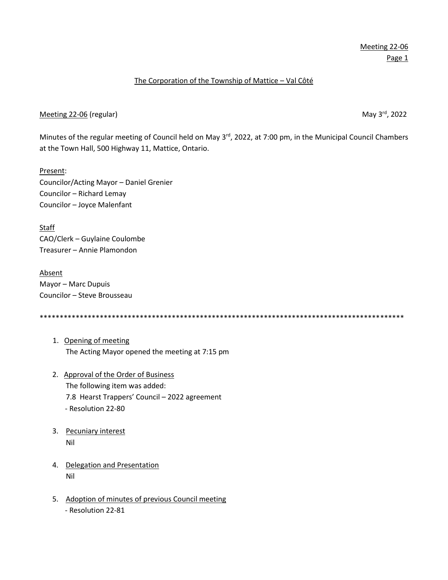## The Corporation of the Township of Mattice – Val Côté

### Meeting 22-06 (regular) May 3<sup>rd</sup>, 2022

Minutes of the regular meeting of Council held on May 3<sup>rd</sup>, 2022, at 7:00 pm, in the Municipal Council Chambers at the Town Hall, 500 Highway 11, Mattice, Ontario.

Present: Councilor/Acting Mayor – Daniel Grenier Councilor – Richard Lemay Councilor – Joyce Malenfant

**Staff** CAO/Clerk – Guylaine Coulombe Treasurer – Annie Plamondon

Absent Mayor – Marc Dupuis Councilor – Steve Brousseau

\*\*\*\*\*\*\*\*\*\*\*\*\*\*\*\*\*\*\*\*\*\*\*\*\*\*\*\*\*\*\*\*\*\*\*\*\*\*\*\*\*\*\*\*\*\*\*\*\*\*\*\*\*\*\*\*\*\*\*\*\*\*\*\*\*\*\*\*\*\*\*\*\*\*\*\*\*\*\*\*\*\*\*\*\*\*\*\*\*\*\*

- 1. Opening of meeting The Acting Mayor opened the meeting at 7:15 pm
- 2. Approval of the Order of Business The following item was added: 7.8 Hearst Trappers' Council – 2022 agreement - Resolution 22-80
- 3. Pecuniary interest Nil
- 4. Delegation and Presentation Nil
- 5. Adoption of minutes of previous Council meeting - Resolution 22-81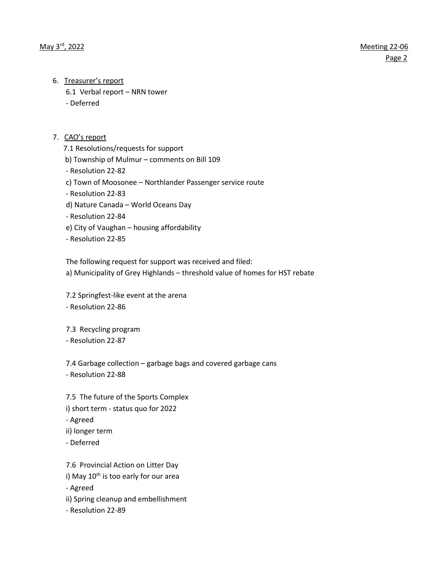- 6. Treasurer's report
	- 6.1 Verbal report NRN tower
	- Deferred

## 7. CAO's report

7.1 Resolutions/requests for support

b) Township of Mulmur – comments on Bill 109

- Resolution 22-82

c) Town of Moosonee – Northlander Passenger service route

- Resolution 22-83

- d) Nature Canada World Oceans Day
- Resolution 22-84
- e) City of Vaughan housing affordability
- Resolution 22-85

The following request for support was received and filed:

a) Municipality of Grey Highlands – threshold value of homes for HST rebate

7.2 Springfest-like event at the arena - Resolution 22-86

7.3 Recycling program

- Resolution 22-87

7.4 Garbage collection – garbage bags and covered garbage cans - Resolution 22-88

7.5 The future of the Sports Complex i) short term - status quo for 2022 - Agreed ii) longer term - Deferred

7.6 Provincial Action on Litter Day i) May  $10<sup>th</sup>$  is too early for our area - Agreed ii) Spring cleanup and embellishment - Resolution 22-89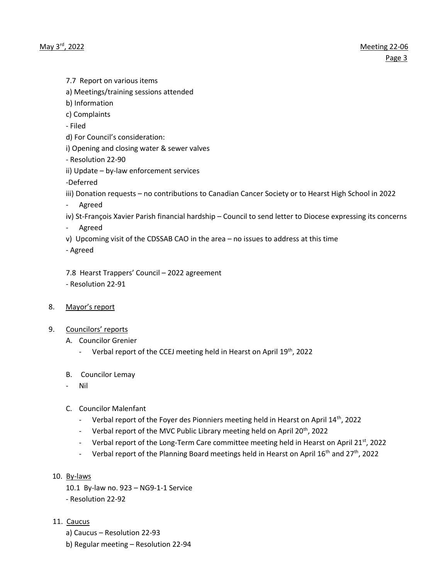7.7 Report on various items

- a) Meetings/training sessions attended
- b) Information
- c) Complaints
- Filed
- d) For Council's consideration:
- i) Opening and closing water & sewer valves
- Resolution 22-90
- ii) Update by-law enforcement services
- -Deferred
- iii) Donation requests no contributions to Canadian Cancer Society or to Hearst High School in 2022
- Agreed
- iv) St-François Xavier Parish financial hardship Council to send letter to Diocese expressing its concerns
- Agreed
- v) Upcoming visit of the CDSSAB CAO in the area no issues to address at this time
- Agreed

7.8 Hearst Trappers' Council – 2022 agreement - Resolution 22-91

- 8. Mayor's report
- 9. Councilors' reports
	- A. Councilor Grenier
		- Verbal report of the CCEJ meeting held in Hearst on April 19<sup>th</sup>, 2022
	- B. Councilor Lemay
		- Nil
	- C. Councilor Malenfant
		- Verbal report of the Foyer des Pionniers meeting held in Hearst on April  $14<sup>th</sup>$ , 2022
		- Verbal report of the MVC Public Library meeting held on April 20<sup>th</sup>, 2022
		- Verbal report of the Long-Term Care committee meeting held in Hearst on April 21<sup>st</sup>, 2022
		- Verbal report of the Planning Board meetings held in Hearst on April 16<sup>th</sup> and 27<sup>th</sup>, 2022
- 10. By-laws
	- 10.1 By-law no. 923 NG9-1-1 Service
	- Resolution 22-92
- 11. Caucus
	- a) Caucus Resolution 22-93
	- b) Regular meeting Resolution 22-94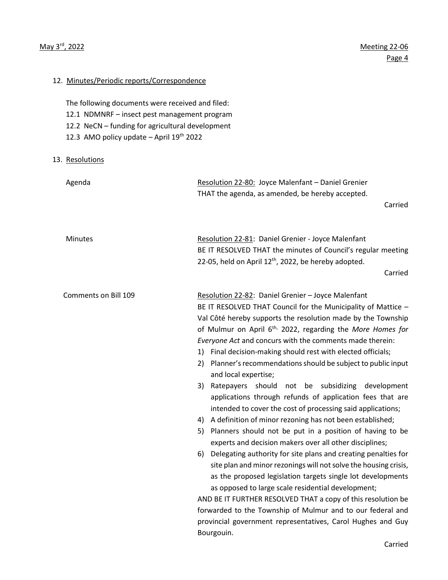12. Minutes/Periodic reports/Correspondence

# The following documents were received and filed: 12.1 NDMNRF – insect pest management program 12.2 NeCN – funding for agricultural development 12.3 AMO policy update – April  $19<sup>th</sup>$  2022 13. Resolutions Agenda Resolution 22-80: Joyce Malenfant – Daniel Grenier THAT the agenda, as amended, be hereby accepted. Carried Minutes Resolution 22-81: Daniel Grenier - Joyce Malenfant BE IT RESOLVED THAT the minutes of Council's regular meeting 22-05, held on April  $12<sup>th</sup>$ , 2022, be hereby adopted. Carried Comments on Bill 109 Resolution 22-82: Daniel Grenier – Joyce Malenfant BE IT RESOLVED THAT Council for the Municipality of Mattice – Val Côté hereby supports the resolution made by the Township of Mulmur on April 6th, 2022, regarding the *More Homes for Everyone Act* and concurs with the comments made therein: 1) Final decision-making should rest with elected officials; 2) Planner's recommendations should be subject to public input and local expertise; 3) Ratepayers should not be subsidizing development applications through refunds of application fees that are intended to cover the cost of processing said applications; 4) A definition of minor rezoning has not been established; 5) Planners should not be put in a position of having to be experts and decision makers over all other disciplines; 6) Delegating authority for site plans and creating penalties for site plan and minor rezonings will not solve the housing crisis, as the proposed legislation targets single lot developments as opposed to large scale residential development; AND BE IT FURTHER RESOLVED THAT a copy of this resolution be forwarded to the Township of Mulmur and to our federal and provincial government representatives, Carol Hughes and Guy

Bourgouin.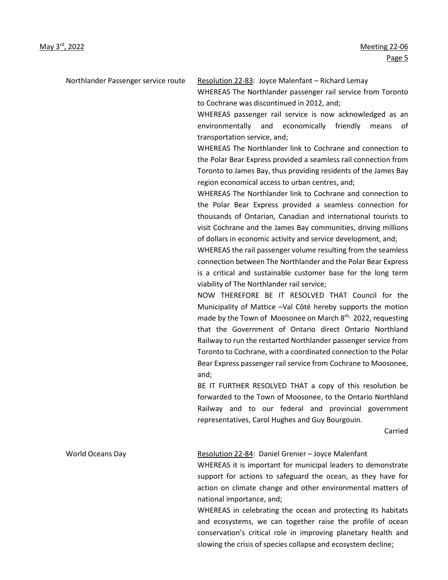Northlander Passenger service route Resolution 22-83: Joyce Malenfant – Richard Lemay

WHEREAS The Northlander passenger rail service from Toronto to Cochrane was discontinued in 2012, and;

WHEREAS passenger rail service is now acknowledged as an environmentally and economically friendly means of transportation service, and;

WHEREAS The Northlander link to Cochrane and connection to the Polar Bear Express provided a seamless rail connection from Toronto to James Bay, thus providing residents of the James Bay region economical access to urban centres, and;

WHEREAS The Northlander link to Cochrane and connection to the Polar Bear Express provided a seamless connection for thousands of Ontarian, Canadian and international tourists to visit Cochrane and the James Bay communities, driving millions of dollars in economic activity and service development, and;

WHEREAS the rail passenger volume resulting from the seamless connection between The Northlander and the Polar Bear Express is a critical and sustainable customer base for the long term viability of The Northlander rail service;

NOW THEREFORE BE IT RESOLVED THAT Council for the Municipality of Mattice –Val Côté hereby supports the motion made by the Town of Moosonee on March 8<sup>th,</sup> 2022, requesting that the Government of Ontario direct Ontario Northland Railway to run the restarted Northlander passenger service from Toronto to Cochrane, with a coordinated connection to the Polar Bear Express passenger rail service from Cochrane to Moosonee, and;

BE IT FURTHER RESOLVED THAT a copy of this resolution be forwarded to the Town of Moosonee, to the Ontario Northland Railway and to our federal and provincial government representatives, Carol Hughes and Guy Bourgouin.

Carried

World Oceans Day The Resolution 22-84: Daniel Grenier – Joyce Malenfant

WHEREAS it is important for municipal leaders to demonstrate support for actions to safeguard the ocean, as they have for action on climate change and other environmental matters of national importance, and;

WHEREAS in celebrating the ocean and protecting its habitats and ecosystems, we can together raise the profile of ocean conservation's critical role in improving planetary health and slowing the crisis of species collapse and ecosystem decline;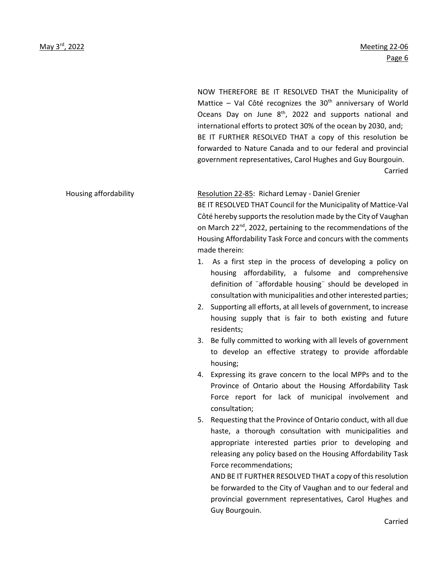NOW THEREFORE BE IT RESOLVED THAT the Municipality of Mattice – Val Côté recognizes the  $30<sup>th</sup>$  anniversary of World Oceans Day on June 8<sup>th</sup>, 2022 and supports national and international efforts to protect 30% of the ocean by 2030, and; BE IT FURTHER RESOLVED THAT a copy of this resolution be forwarded to Nature Canada and to our federal and provincial government representatives, Carol Hughes and Guy Bourgouin. Carried

Housing affordability Resolution 22-85: Richard Lemay - Daniel Grenier

BE IT RESOLVED THAT Council for the Municipality of Mattice-Val Côté hereby supports the resolution made by the City of Vaughan on March 22nd, 2022, pertaining to the recommendations of the Housing Affordability Task Force and concurs with the comments made therein:

- 1. As a first step in the process of developing a policy on housing affordability, a fulsome and comprehensive definition of ¨affordable housing¨ should be developed in consultation with municipalities and other interested parties;
- 2. Supporting all efforts, at all levels of government, to increase housing supply that is fair to both existing and future residents;
- 3. Be fully committed to working with all levels of government to develop an effective strategy to provide affordable housing;
- 4. Expressing its grave concern to the local MPPs and to the Province of Ontario about the Housing Affordability Task Force report for lack of municipal involvement and consultation;
- 5. Requesting that the Province of Ontario conduct, with all due haste, a thorough consultation with municipalities and appropriate interested parties prior to developing and releasing any policy based on the Housing Affordability Task Force recommendations;

AND BE IT FURTHER RESOLVED THAT a copy of this resolution be forwarded to the City of Vaughan and to our federal and provincial government representatives, Carol Hughes and Guy Bourgouin.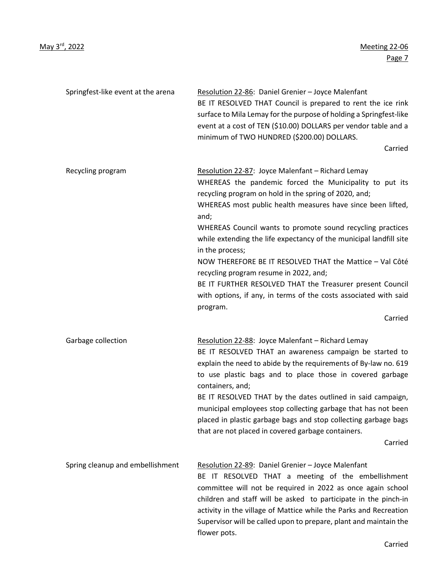| Springfest-like event at the arena | Resolution 22-86: Daniel Grenier - Joyce Malenfant<br>BE IT RESOLVED THAT Council is prepared to rent the ice rink<br>surface to Mila Lemay for the purpose of holding a Springfest-like<br>event at a cost of TEN (\$10.00) DOLLARS per vendor table and a<br>minimum of TWO HUNDRED (\$200.00) DOLLARS.<br>Carried                                                                                                                                                                                                                                                                                                                                              |
|------------------------------------|-------------------------------------------------------------------------------------------------------------------------------------------------------------------------------------------------------------------------------------------------------------------------------------------------------------------------------------------------------------------------------------------------------------------------------------------------------------------------------------------------------------------------------------------------------------------------------------------------------------------------------------------------------------------|
| Recycling program                  | Resolution 22-87: Joyce Malenfant - Richard Lemay<br>WHEREAS the pandemic forced the Municipality to put its<br>recycling program on hold in the spring of 2020, and;<br>WHEREAS most public health measures have since been lifted,<br>and;<br>WHEREAS Council wants to promote sound recycling practices<br>while extending the life expectancy of the municipal landfill site<br>in the process;<br>NOW THEREFORE BE IT RESOLVED THAT the Mattice - Val Côté<br>recycling program resume in 2022, and;<br>BE IT FURTHER RESOLVED THAT the Treasurer present Council<br>with options, if any, in terms of the costs associated with said<br>program.<br>Carried |
| Garbage collection                 | Resolution 22-88: Joyce Malenfant - Richard Lemay<br>BE IT RESOLVED THAT an awareness campaign be started to<br>explain the need to abide by the requirements of By-law no. 619<br>to use plastic bags and to place those in covered garbage<br>containers, and;<br>BE IT RESOLVED THAT by the dates outlined in said campaign,<br>municipal employees stop collecting garbage that has not been<br>placed in plastic garbage bags and stop collecting garbage bags<br>that are not placed in covered garbage containers.<br>Carried                                                                                                                              |
| Spring cleanup and embellishment   | Resolution 22-89: Daniel Grenier - Joyce Malenfant<br>BE IT RESOLVED THAT a meeting of the embellishment<br>committee will not be required in 2022 as once again school<br>children and staff will be asked to participate in the pinch-in<br>activity in the village of Mattice while the Parks and Recreation<br>Supervisor will be called upon to prepare, plant and maintain the<br>flower pots.                                                                                                                                                                                                                                                              |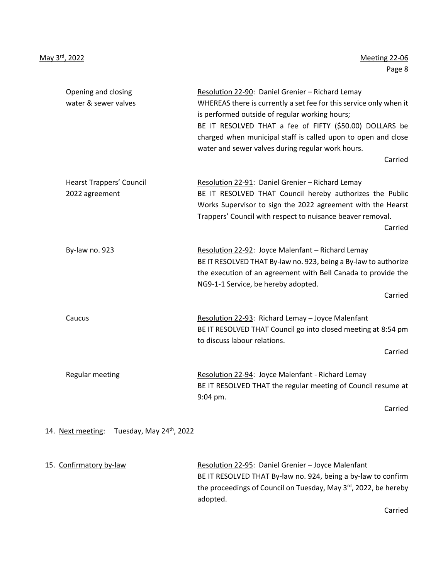| Opening and closing<br>water & sewer valves       | Resolution 22-90: Daniel Grenier - Richard Lemay<br>WHEREAS there is currently a set fee for this service only when it<br>is performed outside of regular working hours;<br>BE IT RESOLVED THAT a fee of FIFTY (\$50.00) DOLLARS be<br>charged when municipal staff is called upon to open and close<br>water and sewer valves during regular work hours.<br>Carried |
|---------------------------------------------------|----------------------------------------------------------------------------------------------------------------------------------------------------------------------------------------------------------------------------------------------------------------------------------------------------------------------------------------------------------------------|
| <b>Hearst Trappers' Council</b><br>2022 agreement | Resolution 22-91: Daniel Grenier - Richard Lemay<br>BE IT RESOLVED THAT Council hereby authorizes the Public<br>Works Supervisor to sign the 2022 agreement with the Hearst<br>Trappers' Council with respect to nuisance beaver removal.<br>Carried                                                                                                                 |
| By-law no. 923                                    | Resolution 22-92: Joyce Malenfant - Richard Lemay<br>BE IT RESOLVED THAT By-law no. 923, being a By-law to authorize<br>the execution of an agreement with Bell Canada to provide the<br>NG9-1-1 Service, be hereby adopted.<br>Carried                                                                                                                              |
| Caucus                                            | Resolution 22-93: Richard Lemay - Joyce Malenfant<br>BE IT RESOLVED THAT Council go into closed meeting at 8:54 pm<br>to discuss labour relations.<br>Carried                                                                                                                                                                                                        |
| <b>Regular meeting</b>                            | Resolution 22-94: Joyce Malenfant - Richard Lemay<br>BE IT RESOLVED THAT the regular meeting of Council resume at<br>9:04 pm.<br>Carried                                                                                                                                                                                                                             |
| Tuesday, May 24th, 2022<br>14. Next meeting:      |                                                                                                                                                                                                                                                                                                                                                                      |

| 15. Confirmatory by-law | Resolution 22-95: Daniel Grenier - Joyce Malenfant                           |
|-------------------------|------------------------------------------------------------------------------|
|                         | BE IT RESOLVED THAT By-law no. 924, being a by-law to confirm                |
|                         | the proceedings of Council on Tuesday, May 3 <sup>rd</sup> , 2022, be hereby |
|                         | adopted.                                                                     |

Carried